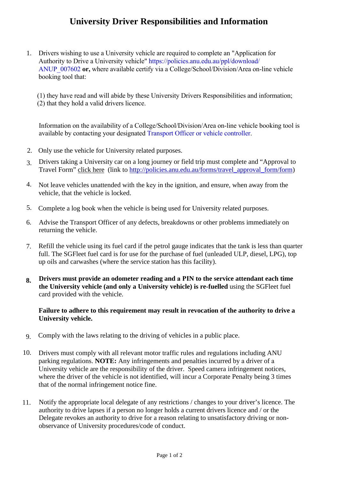## **University Driver Responsibilities and Information**

1. Drivers wishing to use a University vehicle are required to complete an "Application for Authority to Drive a University vehicle" https://policies.anu.edu.au/ppl/download/ ANUP\_007602 **or,** where available certify via a College/School/Division/Area on-line vehicle booking tool that:

(1) they have read and will abide by these University Drivers Responsibilities and information; (2) that they hold a valid drivers licence.

Information on the availability of a College/School/Division/Area on-line vehicle booking tool is available by contacting your designated [Transport Officer or vehicle controller.](https://services.anu.edu.au/files/guidance/Transport%20Officers%20or%20vehicle%20%20Contact.xls)

- 2. Only use the vehicle for University related purposes.
- 3. Drivers taking a University car on a long journey or field trip must complete and "Approval to Travel Form" click here (link to http://policies.anu.edu.au/forms/travel\_approval\_form/form)
- 4. Not leave vehicles unattended with the key in the ignition, and ensure, when away from the vehicle, that the vehicle is locked.
- 5. Complete a log book when the vehicle is being used for University related purposes.
- 6. Advise the Transport Officer of any defects, breakdowns or other problems immediately on returning the vehicle.
- 7. Refill the vehicle using its fuel card if the petrol gauge indicates that the tank is less than quarter full. The SGFleet fuel card is for use for the purchase of fuel (unleaded ULP, diesel, LPG), top up oils and carwashes (where the service station has this facility).
- **8. Drivers must provide an odometer reading and a PIN to the service attendant each time the University vehicle (and only a University vehicle) is re-fuelled** using the SGFleet fuel card provided with the vehicle.

## **Failure to adhere to this requirement may result in revocation of the authority to drive a University vehicle.**

- 9. Comply with the laws relating to the driving of vehicles in a public place.
- 10. Drivers must comply with all relevant motor traffic rules and regulations including ANU parking regulations. **NOTE:** Any infringements and penalties incurred by a driver of a University vehicle are the responsibility of the driver. Speed camera infringement notices, where the driver of the vehicle is not identified, will incur a Corporate Penalty being 3 times that of the normal infringement notice fine.
- 11. Notify the appropriate local delegate of any restrictions / changes to your driver's licence. The authority to drive lapses if a person no longer holds a current drivers licence and / or the Delegate revokes an authority to drive for a reason relating to unsatisfactory driving or nonobservance of University procedures/code of conduct.